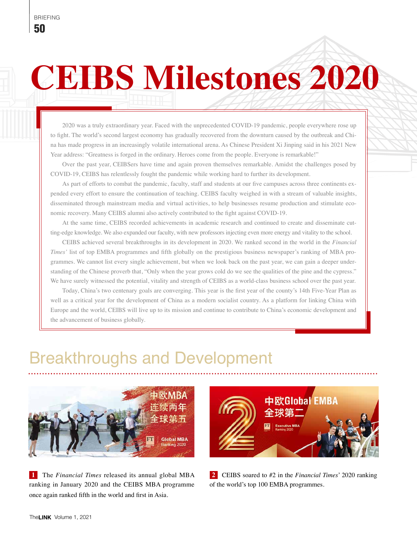# **CEIBS Milestones 2020**

2020 was a truly extraordinary year. Faced with the unprecedented COVID-19 pandemic, people everywhere rose up to fight. The world's second largest economy has gradually recovered from the downturn caused by the outbreak and China has made progress in an increasingly volatile international arena. As Chinese President Xi Jinping said in his 2021 New Year address: "Greatness is forged in the ordinary. Heroes come from the people. Everyone is remarkable!"

Over the past year, CEIBSers have time and again proven themselves remarkable. Amidst the challenges posed by COVID-19, CEIBS has relentlessly fought the pandemic while working hard to further its development.

As part of efforts to combat the pandemic, faculty, staff and students at our five campuses across three continents expended every effort to ensure the continuation of teaching. CEIBS faculty weighed in with a stream of valuable insights, disseminated through mainstream media and virtual activities, to help businesses resume production and stimulate economic recovery. Many CEIBS alumni also actively contributed to the fight against COVID-19.

At the same time, CEIBS recorded achievements in academic research and continued to create and disseminate cutting-edge knowledge. We also expanded our faculty, with new professors injecting even more energy and vitality to the school.

CEIBS achieved several breakthroughs in its development in 2020. We ranked second in the world in the *Financial Times'* list of top EMBA programmes and fifth globally on the prestigious business newspaper's ranking of MBA programmes. We cannot list every single achievement, but when we look back on the past year, we can gain a deeper understanding of the Chinese proverb that, "Only when the year grows cold do we see the qualities of the pine and the cypress." We have surely witnessed the potential, vitality and strength of CEIBS as a world-class business school over the past year.

Today, China's two centenary goals are converging. This year is the first year of the county's 14th Five-Year Plan as well as a critical year for the development of China as a modern socialist country. As a platform for linking China with Europe and the world, CEIBS will live up to its mission and continue to contribute to China's economic development and the advancement of business globally.

## Breakthroughs and Development



**1** The *Financial Times* released its annual global MBA ranking in January 2020 and the CEIBS MBA programme once again ranked fifth in the world and first in Asia.



**2** CEIBS soared to #2 in the *Financial Times*' 2020 ranking of the world's top 100 EMBA programmes.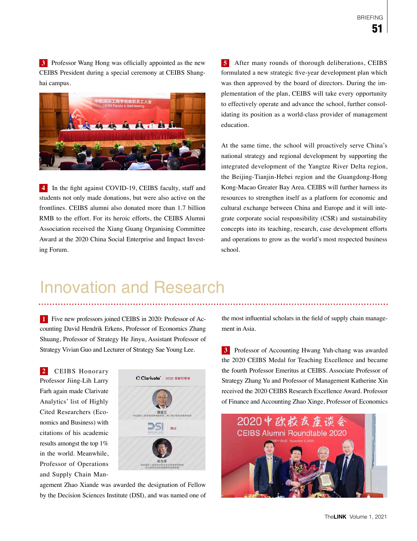**3** Professor Wang Hong was officially appointed as the new CEIBS President during a special ceremony at CEIBS Shanghai campus.



**4** In the fight against COVID-19, CEIBS faculty, staff and students not only made donations, but were also active on the frontlines. CEIBS alumni also donated more than 1.7 billion RMB to the effort. For its heroic efforts, the CEIBS Alumni Association received the Xiang Guang Organising Committee Award at the 2020 China Social Enterprise and Impact Investing Forum.

**5** After many rounds of thorough deliberations, CEIBS formulated a new strategic five-year development plan which was then approved by the board of directors. During the implementation of the plan, CEIBS will take every opportunity to effectively operate and advance the school, further consolidating its position as a world-class provider of management education.

At the same time, the school will proactively serve China's national strategy and regional development by supporting the integrated development of the Yangtze River Delta region, the Beijing-Tianjin-Hebei region and the Guangdong-Hong Kong-Macao Greater Bay Area. CEIBS will further harness its resources to strengthen itself as a platform for economic and cultural exchange between China and Europe and it will integrate corporate social responsibility (CSR) and sustainability concepts into its teaching, research, case development efforts and operations to grow as the world's most respected business school.

## Innovation and Research

**1** Five new professors joined CEIBS in 2020: Professor of Accounting David Hendrik Erkens, Professor of Economics Zhang Shuang, Professor of Strategy He Jinyu, Assistant Professor of Strategy Vivian Guo and Lecturer of Strategy Sae Young Lee.

**2** CEIBS Honorary Professor Jiing-Lih Larry Farh again made Clarivate Analytics' list of Highly Cited Researchers (Economics and Business) with citations of his academic results amongst the top 1% in the world. Meanwhile, Professor of Operations and Supply Chain Man-



agement Zhao Xiande was awarded the designation of Fellow by the Decision Sciences Institute (DSI), and was named one of the most influential scholars in the field of supply chain management in Asia.

**3** Professor of Accounting Hwang Yuh-chang was awarded the 2020 CEIBS Medal for Teaching Excellence and became the fourth Professor Emeritus at CEIBS. Associate Professor of Strategy Zhang Yu and Professor of Management Katherine Xin received the 2020 CEIBS Research Excellence Award. Professor of Finance and Accounting Zhao Xinge, Professor of Economics

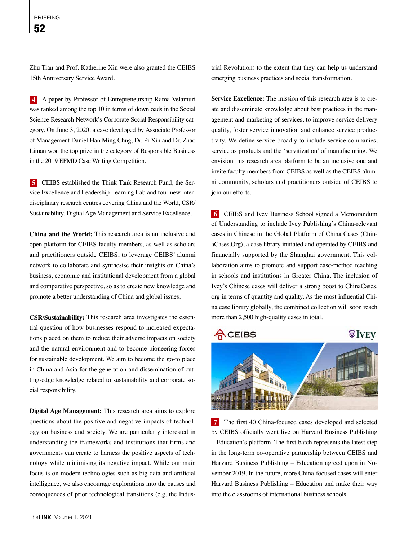Zhu Tian and Prof. Katherine Xin were also granted the CEIBS 15th Anniversary Service Award.

**4** A paper by Professor of Entrepreneurship Rama Velamuri was ranked among the top 10 in terms of downloads in the Social Science Research Network's Corporate Social Responsibility category. On June 3, 2020, a case developed by Associate Professor of Management Daniel Han Ming Chng, Dr. Pi Xin and Dr. Zhao Liman won the top prize in the category of Responsible Business in the 2019 EFMD Case Writing Competition.

**5** CEIBS established the Think Tank Research Fund, the Service Excellence and Leadership Learning Lab and four new interdisciplinary research centres covering China and the World, CSR/ Sustainability, Digital Age Management and Service Excellence.

**China and the World:** This research area is an inclusive and open platform for CEIBS faculty members, as well as scholars and practitioners outside CEIBS, to leverage CEIBS' alumni network to collaborate and synthesise their insights on China's business, economic and institutional development from a global and comparative perspective, so as to create new knowledge and promote a better understanding of China and global issues.

**CSR/Sustainability:** This research area investigates the essential question of how businesses respond to increased expectations placed on them to reduce their adverse impacts on society and the natural environment and to become pioneering forces for sustainable development. We aim to become the go-to place in China and Asia for the generation and dissemination of cutting-edge knowledge related to sustainability and corporate social responsibility.

**Digital Age Management:** This research area aims to explore questions about the positive and negative impacts of technology on business and society. We are particularly interested in understanding the frameworks and institutions that firms and governments can create to harness the positive aspects of technology while minimising its negative impact. While our main focus is on modern technologies such as big data and artificial intelligence, we also encourage explorations into the causes and consequences of prior technological transitions (e.g. the Industrial Revolution) to the extent that they can help us understand emerging business practices and social transformation.

**Service Excellence:** The mission of this research area is to create and disseminate knowledge about best practices in the management and marketing of services, to improve service delivery quality, foster service innovation and enhance service productivity. We define service broadly to include service companies, service as products and the 'servitization' of manufacturing. We envision this research area platform to be an inclusive one and invite faculty members from CEIBS as well as the CEIBS alumni community, scholars and practitioners outside of CEIBS to join our efforts.

**6** CEIBS and Ivey Business School signed a Memorandum of Understanding to include Ivey Publishing's China-relevant cases in Chinese in the Global Platform of China Cases (ChinaCases.Org), a case library initiated and operated by CEIBS and financially supported by the Shanghai government. This collaboration aims to promote and support case-method teaching in schools and institutions in Greater China. The inclusion of Ivey's Chinese cases will deliver a strong boost to ChinaCases. org in terms of quantity and quality. As the most influential China case library globally, the combined collection will soon reach more than 2,500 high-quality cases in total.



**7** The first 40 China-focused cases developed and selected by CEIBS officially went live on Harvard Business Publishing – Education's platform. The first batch represents the latest step in the long-term co-operative partnership between CEIBS and Harvard Business Publishing – Education agreed upon in November 2019. In the future, more China-focused cases will enter Harvard Business Publishing – Education and make their way into the classrooms of international business schools.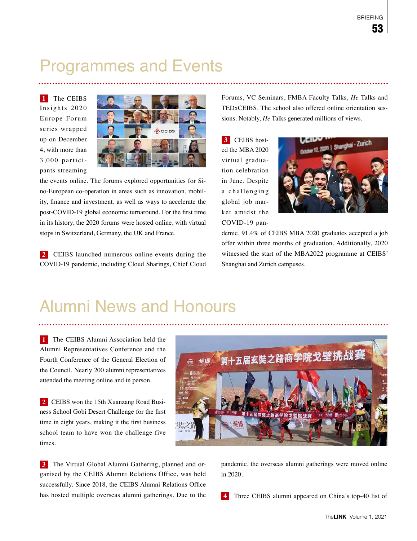## Programmes and Events

**1** The CEIBS Insights 2020 Europe Forum series wrapped up on December 4, with more than 3,000 participants streaming



the events online. The forums explored opportunities for Sino-European co-operation in areas such as innovation, mobility, finance and investment, as well as ways to accelerate the post-COVID-19 global economic turnaround. For the first time in its history, the 2020 forums were hosted online, with virtual stops in Switzerland, Germany, the UK and France.

**2** CEIBS launched numerous online events during the COVID-19 pandemic, including Cloud Sharings, Chief Cloud

Forums, VC Seminars, FMBA Faculty Talks, *He* Talks and TEDxCEIBS. The school also offered online orientation sessions. Notably, *He* Talks generated millions of views.

**3** CEIBS hosted the MBA 2020 virtual graduation celebration in June. Despite a challenging global job market amidst the COVID-19 pan-



demic, 91.4% of CEIBS MBA 2020 graduates accepted a job offer within three months of graduation. Additionally, 2020 witnessed the start of the MBA2022 programme at CEIBS' Shanghai and Zurich campuses.

## Alumni News and Honours

**1** The CEIBS Alumni Association held the Alumni Representatives Conference and the Fourth Conference of the General Election of the Council. Nearly 200 alumni representatives attended the meeting online and in person.

**2** CEIBS won the 15th Xuanzang Road Business School Gobi Desert Challenge for the first time in eight years, making it the first business school team to have won the challenge five times.



ganised by the CEIBS Alumni Relations Office, was held successfully. Since 2018, the CEIBS Alumni Relations Office has hosted multiple overseas alumni gatherings. Due to the pandemic, the overseas alumni gatherings were moved online

————————————————————<br><sub>第十五届玄奘之路商学院戈壁挑战赛</sub>

**4** Three CEIBS alumni appeared on China's top-40 list of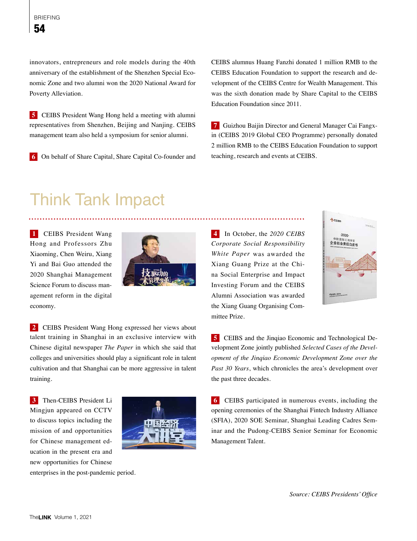innovators, entrepreneurs and role models during the 40th anniversary of the establishment of the Shenzhen Special Economic Zone and two alumni won the 2020 National Award for Poverty Alleviation.

**5** CEIBS President Wang Hong held a meeting with alumni representatives from Shenzhen, Beijing and Nanjing. CEIBS management team also held a symposium for senior alumni.

**6** On behalf of Share Capital, Share Capital Co-founder and

CEIBS alumnus Huang Fanzhi donated 1 million RMB to the CEIBS Education Foundation to support the research and development of the CEIBS Centre for Wealth Management. This was the sixth donation made by Share Capital to the CEIBS Education Foundation since 2011.

**7** Guizhou Baijin Director and General Manager Cai Fangxin (CEIBS 2019 Global CEO Programme) personally donated 2 million RMB to the CEIBS Education Foundation to support teaching, research and events at CEIBS.

## Think Tank Impact

**1** CEIBS President Wang Hong and Professors Zhu Xiaoming, Chen Weiru, Xiang Yi and Bai Guo attended the 2020 Shanghai Management Science Forum to discuss management reform in the digital economy.



**2** CEIBS President Wang Hong expressed her views about talent training in Shanghai in an exclusive interview with Chinese digital newspaper *The Paper* in which she said that colleges and universities should play a significant role in talent cultivation and that Shanghai can be more aggressive in talent training.

**3** Then-CEIBS President Li Mingjun appeared on CCTV to discuss topics including the mission of and opportunities for Chinese management education in the present era and new opportunities for Chinese enterprises in the post-pandemic period.



**4** In October, the *2020 CEIBS Corporate Social Responsibility White Paper* was awarded the Xiang Guang Prize at the China Social Enterprise and Impact Investing Forum and the CEIBS Alumni Association was awarded the Xiang Guang Organising Committee Prize.



**5** CEIBS and the Jinqiao Economic and Technological Development Zone jointly published *Selected Cases of the Development of the Jinqiao Economic Development Zone over the Past 30 Years*, which chronicles the area's development over the past three decades.

**6** CEIBS participated in numerous events, including the opening ceremonies of the Shanghai Fintech Industry Alliance (SFIA), 2020 SOE Seminar, Shanghai Leading Cadres Seminar and the Pudong-CEIBS Senior Seminar for Economic Management Talent.